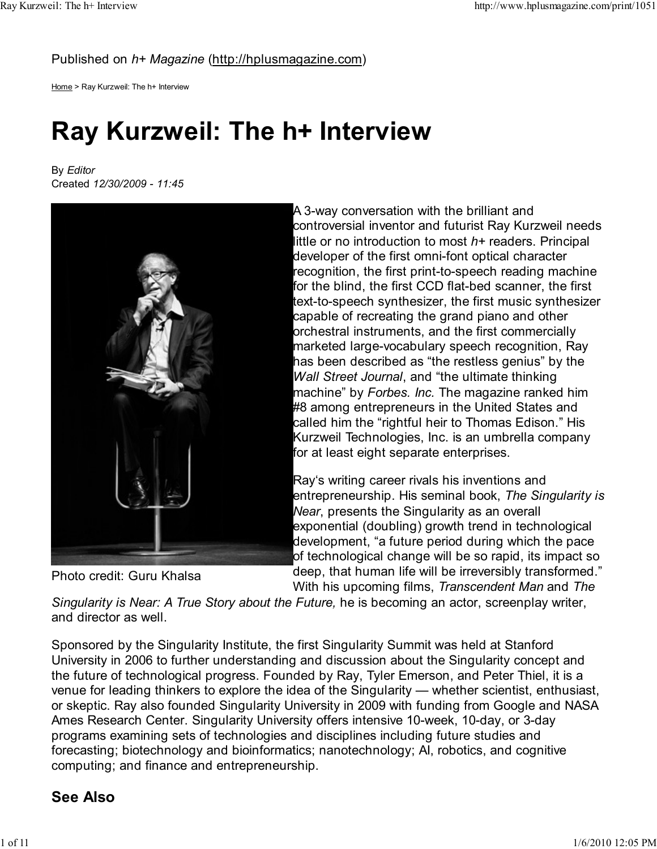Published on h+ Magazine (http://hplusmagazine.com)

Home > Ray Kurzweil: The h+ Interview

# Ray Kurzweil: The h+ Interview

By Editor Created 12/30/2009 - 11:45



Photo credit: Guru Khalsa

A 3-way conversation with the brilliant and controversial inventor and futurist Ray Kurzweil needs little or no introduction to most h+ readers. Principal developer of the first omni-font optical character recognition, the first print-to-speech reading machine for the blind, the first CCD flat-bed scanner, the first text-to-speech synthesizer, the first music synthesizer capable of recreating the grand piano and other orchestral instruments, and the first commercially marketed large-vocabulary speech recognition, Ray has been described as "the restless genius" by the Wall Street Journal, and "the ultimate thinking machine" by Forbes. Inc. The magazine ranked him #8 among entrepreneurs in the United States and called him the "rightful heir to Thomas Edison." His Kurzweil Technologies, Inc. is an umbrella company for at least eight separate enterprises.

Ray's writing career rivals his inventions and entrepreneurship. His seminal book, The Singularity is Near, presents the Singularity as an overall exponential (doubling) growth trend in technological development, "a future period during which the pace of technological change will be so rapid, its impact so deep, that human life will be irreversibly transformed." With his upcoming films, *Transcendent Man* and The

Singularity is Near: A True Story about the Future, he is becoming an actor, screenplay writer, and director as well.

Sponsored by the Singularity Institute, the first Singularity Summit was held at Stanford University in 2006 to further understanding and discussion about the Singularity concept and the future of technological progress. Founded by Ray, Tyler Emerson, and Peter Thiel, it is a venue for leading thinkers to explore the idea of the Singularity — whether scientist, enthusiast, or skeptic. Ray also founded Singularity University in 2009 with funding from Google and NASA Ames Research Center. Singularity University offers intensive 10-week, 10-day, or 3-day programs examining sets of technologies and disciplines including future studies and forecasting; biotechnology and bioinformatics; nanotechnology; AI, robotics, and cognitive computing; and finance and entrepreneurship.

# See Also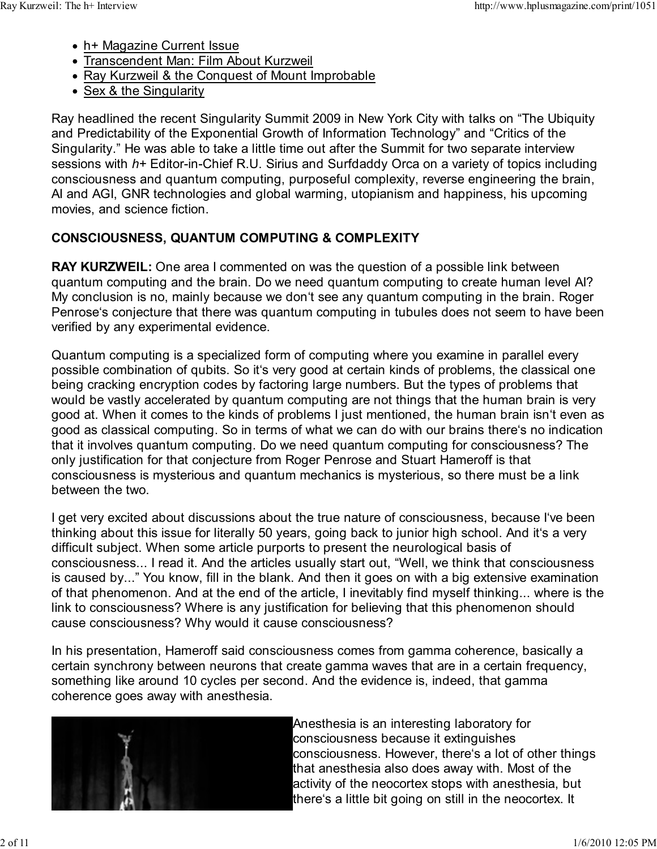- h+ Magazine Current Issue
- Transcendent Man: Film About Kurzweil
- Ray Kurzweil & the Conquest of Mount Improbable
- Sex & the Singularity

Ray headlined the recent Singularity Summit 2009 in New York City with talks on "The Ubiquity and Predictability of the Exponential Growth of Information Technology" and "Critics of the Singularity." He was able to take a little time out after the Summit for two separate interview sessions with h+ Editor-in-Chief R.U. Sirius and Surfdaddy Orca on a variety of topics including consciousness and quantum computing, purposeful complexity, reverse engineering the brain, AI and AGI, GNR technologies and global warming, utopianism and happiness, his upcoming movies, and science fiction.

# CONSCIOUSNESS, QUANTUM COMPUTING & COMPLEXITY

RAY KURZWEIL: One area I commented on was the question of a possible link between quantum computing and the brain. Do we need quantum computing to create human level AI? My conclusion is no, mainly because we don't see any quantum computing in the brain. Roger Penrose's conjecture that there was quantum computing in tubules does not seem to have been verified by any experimental evidence.

Quantum computing is a specialized form of computing where you examine in parallel every possible combination of qubits. So it's very good at certain kinds of problems, the classical one being cracking encryption codes by factoring large numbers. But the types of problems that would be vastly accelerated by quantum computing are not things that the human brain is very good at. When it comes to the kinds of problems I just mentioned, the human brain isn't even as good as classical computing. So in terms of what we can do with our brains there's no indication that it involves quantum computing. Do we need quantum computing for consciousness? The only justification for that conjecture from Roger Penrose and Stuart Hameroff is that consciousness is mysterious and quantum mechanics is mysterious, so there must be a link between the two.

I get very excited about discussions about the true nature of consciousness, because I've been thinking about this issue for literally 50 years, going back to junior high school. And it's a very difficult subject. When some article purports to present the neurological basis of consciousness... I read it. And the articles usually start out, "Well, we think that consciousness is caused by..." You know, fill in the blank. And then it goes on with a big extensive examination of that phenomenon. And at the end of the article, I inevitably find myself thinking... where is the link to consciousness? Where is any justification for believing that this phenomenon should cause consciousness? Why would it cause consciousness?

In his presentation, Hameroff said consciousness comes from gamma coherence, basically a certain synchrony between neurons that create gamma waves that are in a certain frequency, something like around 10 cycles per second. And the evidence is, indeed, that gamma coherence goes away with anesthesia.



Anesthesia is an interesting laboratory for consciousness because it extinguishes consciousness. However, there's a lot of other things that anesthesia also does away with. Most of the activity of the neocortex stops with anesthesia, but there's a little bit going on still in the neocortex. It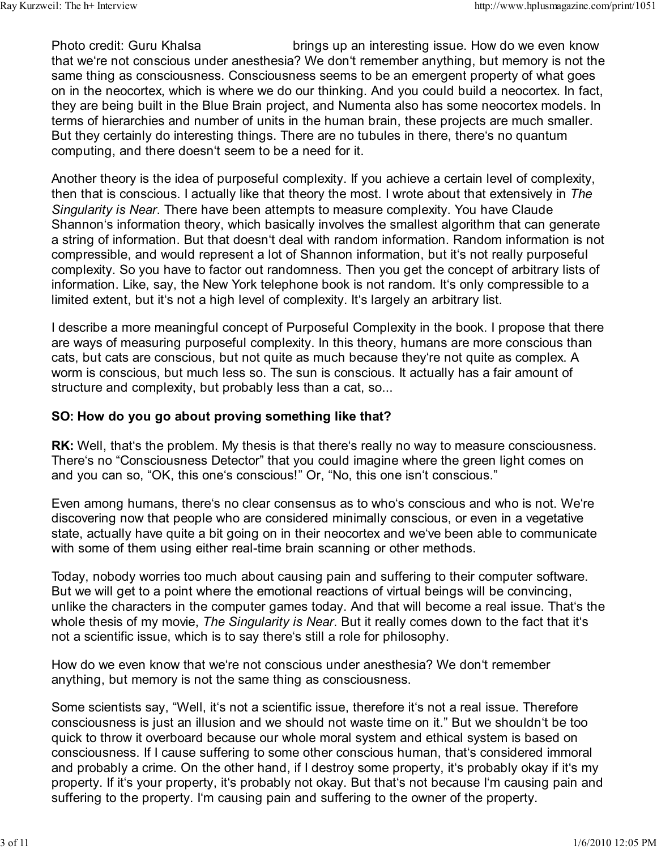Photo credit: Guru Khalsa brings up an interesting issue. How do we even know that we're not conscious under anesthesia? We don't remember anything, but memory is not the same thing as consciousness. Consciousness seems to be an emergent property of what goes on in the neocortex, which is where we do our thinking. And you could build a neocortex. In fact, they are being built in the Blue Brain project, and Numenta also has some neocortex models. In terms of hierarchies and number of units in the human brain, these projects are much smaller. But they certainly do interesting things. There are no tubules in there, there's no quantum computing, and there doesn't seem to be a need for it.

Another theory is the idea of purposeful complexity. If you achieve a certain level of complexity, then that is conscious. I actually like that theory the most. I wrote about that extensively in The Singularity is Near. There have been attempts to measure complexity. You have Claude Shannon's information theory, which basically involves the smallest algorithm that can generate a string of information. But that doesn't deal with random information. Random information is not compressible, and would represent a lot of Shannon information, but it's not really purposeful complexity. So you have to factor out randomness. Then you get the concept of arbitrary lists of information. Like, say, the New York telephone book is not random. It's only compressible to a limited extent, but it's not a high level of complexity. It's largely an arbitrary list.

I describe a more meaningful concept of Purposeful Complexity in the book. I propose that there are ways of measuring purposeful complexity. In this theory, humans are more conscious than cats, but cats are conscious, but not quite as much because they're not quite as complex. A worm is conscious, but much less so. The sun is conscious. It actually has a fair amount of structure and complexity, but probably less than a cat, so...

#### SO: How do you go about proving something like that?

RK: Well, that's the problem. My thesis is that there's really no way to measure consciousness. There's no "Consciousness Detector" that you could imagine where the green light comes on and you can so, "OK, this one's conscious!" Or, "No, this one isn't conscious."

Even among humans, there's no clear consensus as to who's conscious and who is not. We're discovering now that people who are considered minimally conscious, or even in a vegetative state, actually have quite a bit going on in their neocortex and we've been able to communicate with some of them using either real-time brain scanning or other methods.

Today, nobody worries too much about causing pain and suffering to their computer software. But we will get to a point where the emotional reactions of virtual beings will be convincing, unlike the characters in the computer games today. And that will become a real issue. That's the whole thesis of my movie, The Singularity is Near. But it really comes down to the fact that it's not a scientific issue, which is to say there's still a role for philosophy.

How do we even know that we're not conscious under anesthesia? We don't remember anything, but memory is not the same thing as consciousness.

Some scientists say, "Well, it's not a scientific issue, therefore it's not a real issue. Therefore consciousness is just an illusion and we should not waste time on it." But we shouldn't be too quick to throw it overboard because our whole moral system and ethical system is based on consciousness. If I cause suffering to some other conscious human, that's considered immoral and probably a crime. On the other hand, if I destroy some property, it's probably okay if it's my property. If it's your property, it's probably not okay. But that's not because I'm causing pain and suffering to the property. I'm causing pain and suffering to the owner of the property.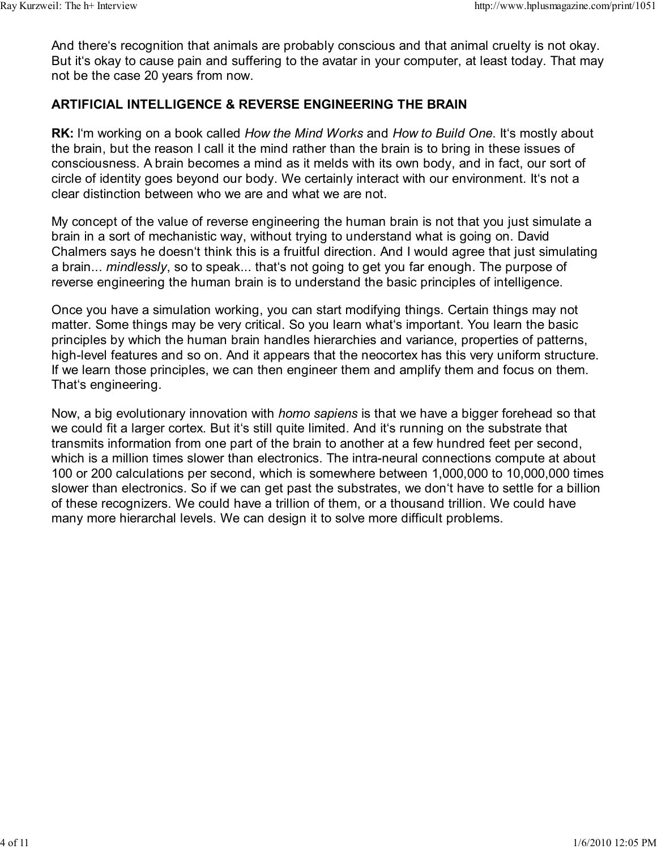And there's recognition that animals are probably conscious and that animal cruelty is not okay. But it's okay to cause pain and suffering to the avatar in your computer, at least today. That may not be the case 20 years from now.

### ARTIFICIAL INTELLIGENCE & REVERSE ENGINEERING THE BRAIN

**RK:** I'm working on a book called How the Mind Works and How to Build One. It's mostly about the brain, but the reason I call it the mind rather than the brain is to bring in these issues of consciousness. A brain becomes a mind as it melds with its own body, and in fact, our sort of circle of identity goes beyond our body. We certainly interact with our environment. It's not a clear distinction between who we are and what we are not.

My concept of the value of reverse engineering the human brain is not that you just simulate a brain in a sort of mechanistic way, without trying to understand what is going on. David Chalmers says he doesn't think this is a fruitful direction. And I would agree that just simulating a brain... mindlessly, so to speak... that's not going to get you far enough. The purpose of reverse engineering the human brain is to understand the basic principles of intelligence.

Once you have a simulation working, you can start modifying things. Certain things may not matter. Some things may be very critical. So you learn what's important. You learn the basic principles by which the human brain handles hierarchies and variance, properties of patterns, high-level features and so on. And it appears that the neocortex has this very uniform structure. If we learn those principles, we can then engineer them and amplify them and focus on them. That's engineering.

Now, a big evolutionary innovation with homo sapiens is that we have a bigger forehead so that we could fit a larger cortex. But it's still quite limited. And it's running on the substrate that transmits information from one part of the brain to another at a few hundred feet per second, which is a million times slower than electronics. The intra-neural connections compute at about 100 or 200 calculations per second, which is somewhere between 1,000,000 to 10,000,000 times slower than electronics. So if we can get past the substrates, we don't have to settle for a billion of these recognizers. We could have a trillion of them, or a thousand trillion. We could have many more hierarchal levels. We can design it to solve more difficult problems.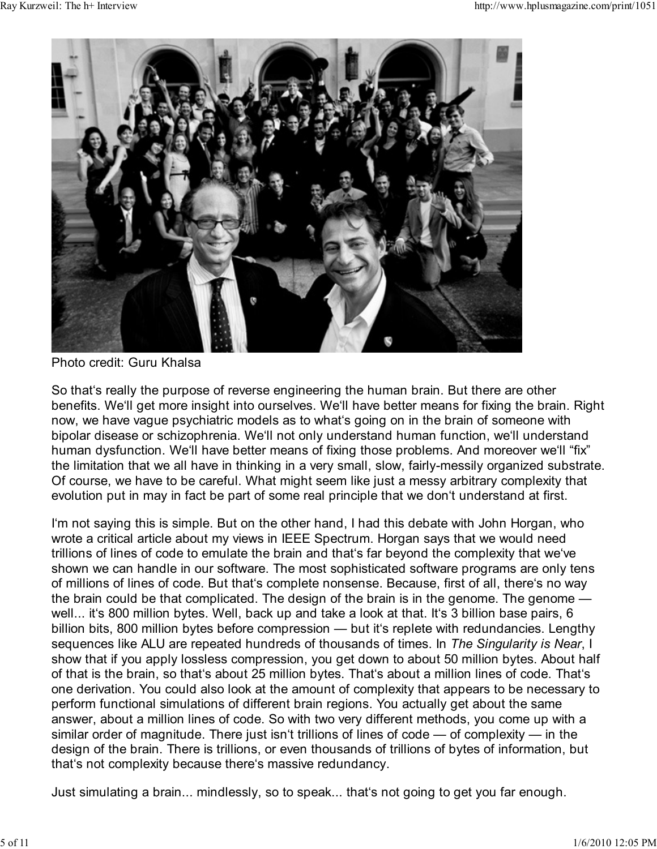

Photo credit: Guru Khalsa

So that's really the purpose of reverse engineering the human brain. But there are other benefits. We'll get more insight into ourselves. We'll have better means for fixing the brain. Right now, we have vague psychiatric models as to what's going on in the brain of someone with bipolar disease or schizophrenia. We'll not only understand human function, we'll understand human dysfunction. We'll have better means of fixing those problems. And moreover we'll "fix" the limitation that we all have in thinking in a very small, slow, fairly-messily organized substrate. Of course, we have to be careful. What might seem like just a messy arbitrary complexity that evolution put in may in fact be part of some real principle that we don't understand at first.

I'm not saying this is simple. But on the other hand, I had this debate with John Horgan, who wrote a critical article about my views in IEEE Spectrum. Horgan says that we would need trillions of lines of code to emulate the brain and that's far beyond the complexity that we've shown we can handle in our software. The most sophisticated software programs are only tens of millions of lines of code. But that's complete nonsense. Because, first of all, there's no way the brain could be that complicated. The design of the brain is in the genome. The genome well... it's 800 million bytes. Well, back up and take a look at that. It's 3 billion base pairs, 6 billion bits, 800 million bytes before compression — but it's replete with redundancies. Lengthy sequences like ALU are repeated hundreds of thousands of times. In The Singularity is Near, I show that if you apply lossless compression, you get down to about 50 million bytes. About half of that is the brain, so that's about 25 million bytes. That's about a million lines of code. That's one derivation. You could also look at the amount of complexity that appears to be necessary to perform functional simulations of different brain regions. You actually get about the same answer, about a million lines of code. So with two very different methods, you come up with a similar order of magnitude. There just isn't trillions of lines of code — of complexity — in the design of the brain. There is trillions, or even thousands of trillions of bytes of information, but that's not complexity because there's massive redundancy.

Just simulating a brain... mindlessly, so to speak... that's not going to get you far enough.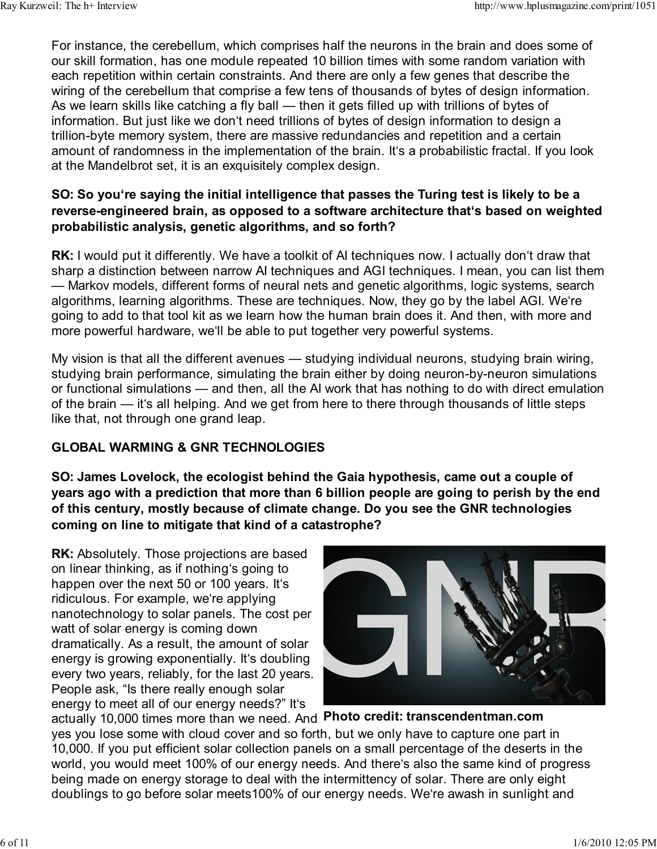For instance, the cerebellum, which comprises half the neurons in the brain and does some of our skill formation, has one module repeated 10 billion times with some random variation with each repetition within certain constraints. And there are only a few genes that describe the wiring of the cerebellum that comprise a few tens of thousands of bytes of design information. As we learn skills like catching a fly ball — then it gets filled up with trillions of bytes of information. But just like we don't need trillions of bytes of design information to design a trillion-byte memory system, there are massive redundancies and repetition and a certain amount of randomness in the implementation of the brain. It's a probabilistic fractal. If you look at the Mandelbrot set, it is an exquisitely complex design.

### SO: So you're saying the initial intelligence that passes the Turing test is likely to be a reverse-engineered brain, as opposed to a software architecture that's based on weighted probabilistic analysis, genetic algorithms, and so forth?

RK: I would put it differently. We have a toolkit of AI techniques now. I actually don't draw that sharp a distinction between narrow AI techniques and AGI techniques. I mean, you can list them — Markov models, different forms of neural nets and genetic algorithms, logic systems, search algorithms, learning algorithms. These are techniques. Now, they go by the label AGI. We're going to add to that tool kit as we learn how the human brain does it. And then, with more and more powerful hardware, we'll be able to put together very powerful systems.

My vision is that all the different avenues — studying individual neurons, studying brain wiring, studying brain performance, simulating the brain either by doing neuron-by-neuron simulations or functional simulations — and then, all the AI work that has nothing to do with direct emulation of the brain — it's all helping. And we get from here to there through thousands of little steps like that, not through one grand leap.

## GLOBAL WARMING & GNR TECHNOLOGIES

SO: James Lovelock, the ecologist behind the Gaia hypothesis, came out a couple of years ago with a prediction that more than 6 billion people are going to perish by the end of this century, mostly because of climate change. Do you see the GNR technologies coming on line to mitigate that kind of a catastrophe?

RK: Absolutely. Those projections are based on linear thinking, as if nothing's going to happen over the next 50 or 100 years. It's ridiculous. For example, we're applying nanotechnology to solar panels. The cost per watt of solar energy is coming down dramatically. As a result, the amount of solar energy is growing exponentially. It's doubling every two years, reliably, for the last 20 years. People ask, "Is there really enough solar energy to meet all of our energy needs?" It's



actually 10,000 times more than we need. And Photo credit: transcendentman.com yes you lose some with cloud cover and so forth, but we only have to capture one part in 10,000. If you put efficient solar collection panels on a small percentage of the deserts in the world, you would meet 100% of our energy needs. And there's also the same kind of progress being made on energy storage to deal with the intermittency of solar. There are only eight doublings to go before solar meets100% of our energy needs. We're awash in sunlight and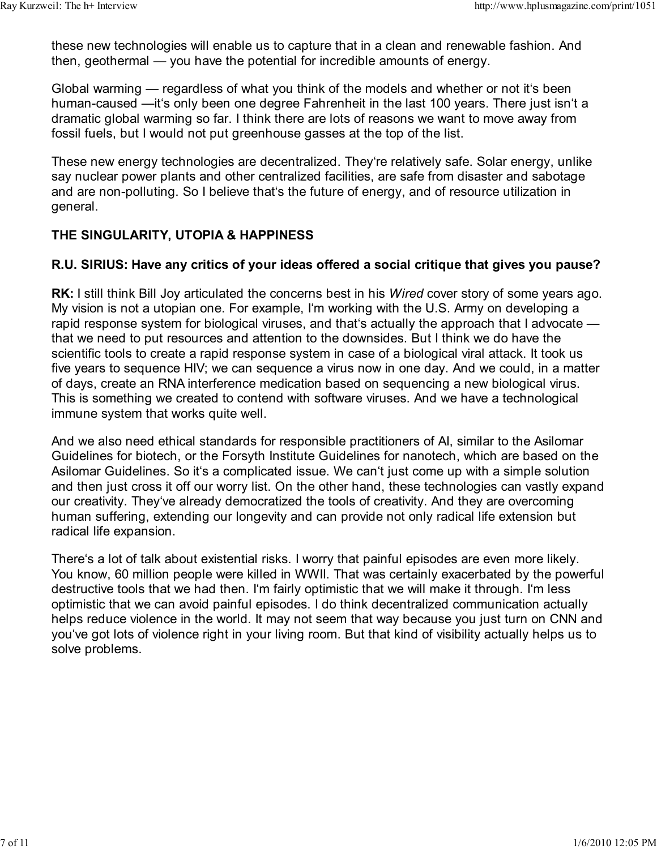these new technologies will enable us to capture that in a clean and renewable fashion. And then, geothermal — you have the potential for incredible amounts of energy.

Global warming — regardless of what you think of the models and whether or not it's been human-caused —it's only been one degree Fahrenheit in the last 100 years. There just isn't a dramatic global warming so far. I think there are lots of reasons we want to move away from fossil fuels, but I would not put greenhouse gasses at the top of the list.

These new energy technologies are decentralized. They're relatively safe. Solar energy, unlike say nuclear power plants and other centralized facilities, are safe from disaster and sabotage and are non-polluting. So I believe that's the future of energy, and of resource utilization in general.

## THE SINGULARITY, UTOPIA & HAPPINESS

### R.U. SIRIUS: Have any critics of your ideas offered a social critique that gives you pause?

RK: I still think Bill Joy articulated the concerns best in his *Wired* cover story of some years ago. My vision is not a utopian one. For example, I'm working with the U.S. Army on developing a rapid response system for biological viruses, and that's actually the approach that I advocate that we need to put resources and attention to the downsides. But I think we do have the scientific tools to create a rapid response system in case of a biological viral attack. It took us five years to sequence HIV; we can sequence a virus now in one day. And we could, in a matter of days, create an RNA interference medication based on sequencing a new biological virus. This is something we created to contend with software viruses. And we have a technological immune system that works quite well.

And we also need ethical standards for responsible practitioners of AI, similar to the Asilomar Guidelines for biotech, or the Forsyth Institute Guidelines for nanotech, which are based on the Asilomar Guidelines. So it's a complicated issue. We can't just come up with a simple solution and then just cross it off our worry list. On the other hand, these technologies can vastly expand our creativity. They've already democratized the tools of creativity. And they are overcoming human suffering, extending our longevity and can provide not only radical life extension but radical life expansion.

There's a lot of talk about existential risks. I worry that painful episodes are even more likely. You know, 60 million people were killed in WWII. That was certainly exacerbated by the powerful destructive tools that we had then. I'm fairly optimistic that we will make it through. I'm less optimistic that we can avoid painful episodes. I do think decentralized communication actually helps reduce violence in the world. It may not seem that way because you just turn on CNN and you've got lots of violence right in your living room. But that kind of visibility actually helps us to solve problems.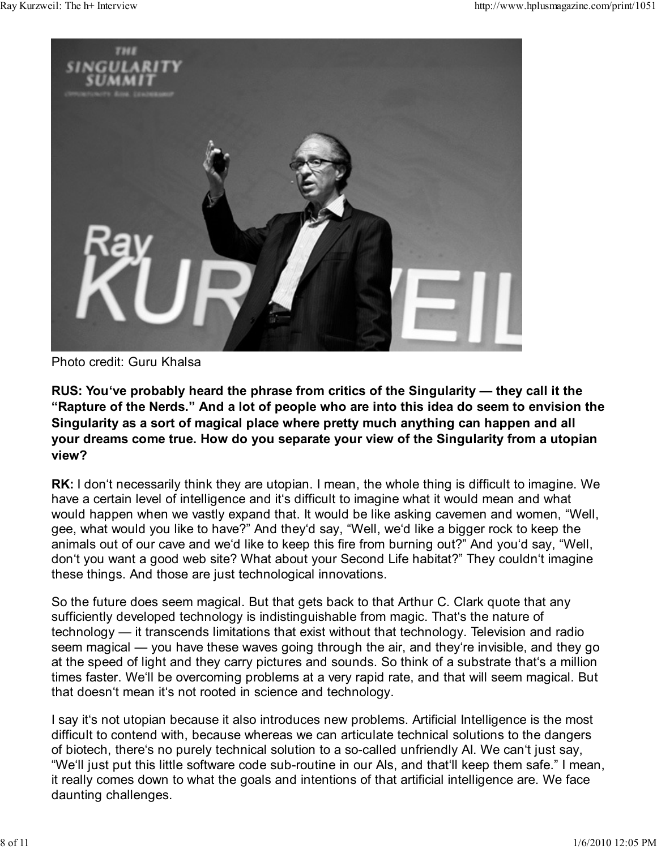

Photo credit: Guru Khalsa

RUS: You've probably heard the phrase from critics of the Singularity — they call it the "Rapture of the Nerds." And a lot of people who are into this idea do seem to envision the Singularity as a sort of magical place where pretty much anything can happen and all your dreams come true. How do you separate your view of the Singularity from a utopian view?

RK: I don't necessarily think they are utopian. I mean, the whole thing is difficult to imagine. We have a certain level of intelligence and it's difficult to imagine what it would mean and what would happen when we vastly expand that. It would be like asking cavemen and women, "Well, gee, what would you like to have?" And they'd say, "Well, we'd like a bigger rock to keep the animals out of our cave and we'd like to keep this fire from burning out?" And you'd say, "Well, don't you want a good web site? What about your Second Life habitat?" They couldn't imagine these things. And those are just technological innovations.

So the future does seem magical. But that gets back to that Arthur C. Clark quote that any sufficiently developed technology is indistinguishable from magic. That's the nature of technology — it transcends limitations that exist without that technology. Television and radio seem magical — you have these waves going through the air, and they're invisible, and they go at the speed of light and they carry pictures and sounds. So think of a substrate that's a million times faster. We'll be overcoming problems at a very rapid rate, and that will seem magical. But that doesn't mean it's not rooted in science and technology.

I say it's not utopian because it also introduces new problems. Artificial Intelligence is the most difficult to contend with, because whereas we can articulate technical solutions to the dangers of biotech, there's no purely technical solution to a so-called unfriendly AI. We can't just say, "We'll just put this little software code sub-routine in our AIs, and that'll keep them safe." I mean, it really comes down to what the goals and intentions of that artificial intelligence are. We face daunting challenges.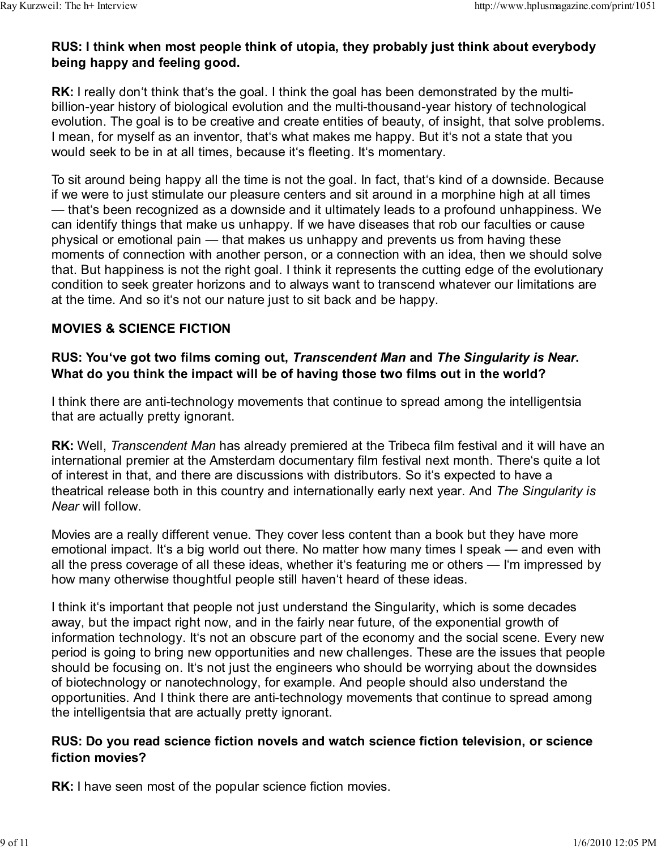## RUS: I think when most people think of utopia, they probably just think about everybody being happy and feeling good.

RK: I really don't think that's the goal. I think the goal has been demonstrated by the multibillion-year history of biological evolution and the multi-thousand-year history of technological evolution. The goal is to be creative and create entities of beauty, of insight, that solve problems. I mean, for myself as an inventor, that's what makes me happy. But it's not a state that you would seek to be in at all times, because it's fleeting. It's momentary.

To sit around being happy all the time is not the goal. In fact, that's kind of a downside. Because if we were to just stimulate our pleasure centers and sit around in a morphine high at all times — that's been recognized as a downside and it ultimately leads to a profound unhappiness. We can identify things that make us unhappy. If we have diseases that rob our faculties or cause physical or emotional pain — that makes us unhappy and prevents us from having these moments of connection with another person, or a connection with an idea, then we should solve that. But happiness is not the right goal. I think it represents the cutting edge of the evolutionary condition to seek greater horizons and to always want to transcend whatever our limitations are at the time. And so it's not our nature just to sit back and be happy.

### MOVIES & SCIENCE FICTION

### RUS: You've got two films coming out, Transcendent Man and The Singularity is Near. What do you think the impact will be of having those two films out in the world?

I think there are anti-technology movements that continue to spread among the intelligentsia that are actually pretty ignorant.

RK: Well, Transcendent Man has already premiered at the Tribeca film festival and it will have an international premier at the Amsterdam documentary film festival next month. There's quite a lot of interest in that, and there are discussions with distributors. So it's expected to have a theatrical release both in this country and internationally early next year. And The Singularity is Near will follow.

Movies are a really different venue. They cover less content than a book but they have more emotional impact. It's a big world out there. No matter how many times I speak — and even with all the press coverage of all these ideas, whether it's featuring me or others — I'm impressed by how many otherwise thoughtful people still haven't heard of these ideas.

I think it's important that people not just understand the Singularity, which is some decades away, but the impact right now, and in the fairly near future, of the exponential growth of information technology. It's not an obscure part of the economy and the social scene. Every new period is going to bring new opportunities and new challenges. These are the issues that people should be focusing on. It's not just the engineers who should be worrying about the downsides of biotechnology or nanotechnology, for example. And people should also understand the opportunities. And I think there are anti-technology movements that continue to spread among the intelligentsia that are actually pretty ignorant.

#### RUS: Do you read science fiction novels and watch science fiction television, or science fiction movies?

RK: I have seen most of the popular science fiction movies.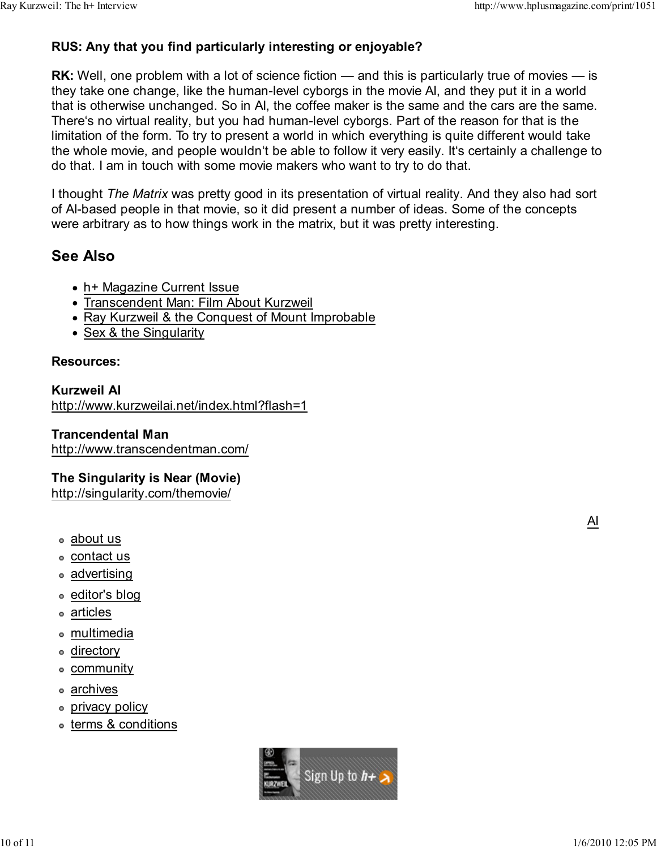## RUS: Any that you find particularly interesting or enjoyable?

**RK:** Well, one problem with a lot of science fiction — and this is particularly true of movies — is they take one change, like the human-level cyborgs in the movie AI, and they put it in a world that is otherwise unchanged. So in AI, the coffee maker is the same and the cars are the same. There's no virtual reality, but you had human-level cyborgs. Part of the reason for that is the limitation of the form. To try to present a world in which everything is quite different would take the whole movie, and people wouldn't be able to follow it very easily. It's certainly a challenge to do that. I am in touch with some movie makers who want to try to do that.

I thought The Matrix was pretty good in its presentation of virtual reality. And they also had sort of AI-based people in that movie, so it did present a number of ideas. Some of the concepts were arbitrary as to how things work in the matrix, but it was pretty interesting.

# See Also

- h+ Magazine Current Issue
- Transcendent Man: Film About Kurzweil
- Ray Kurzweil & the Conquest of Mount Improbable
- Sex & the Singularity

#### Resources:

#### Kurzweil AI

http://www.kurzweilai.net/index.html?flash=1

#### Trancendental Man

http://www.transcendentman.com/

#### The Singularity is Near (Movie)

http://singularity.com/themovie/

- about us
- contact us
- advertising
- editor's blog
- articles
- multimedia
- directory
- community
- archives
- **·** privacy policy
- terms & conditions



AI